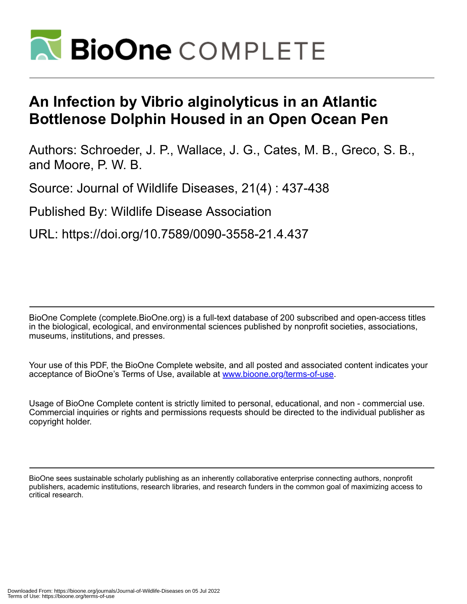

## **An Infection by Vibrio alginolyticus in an Atlantic Bottlenose Dolphin Housed in an Open Ocean Pen**

Authors: Schroeder, J. P., Wallace, J. G., Cates, M. B., Greco, S. B., and Moore, P. W. B.

Source: Journal of Wildlife Diseases, 21(4) : 437-438

Published By: Wildlife Disease Association

URL: https://doi.org/10.7589/0090-3558-21.4.437

BioOne Complete (complete.BioOne.org) is a full-text database of 200 subscribed and open-access titles in the biological, ecological, and environmental sciences published by nonprofit societies, associations, museums, institutions, and presses.

Your use of this PDF, the BioOne Complete website, and all posted and associated content indicates your acceptance of BioOne's Terms of Use, available at www.bioone.org/terms-of-use.

Usage of BioOne Complete content is strictly limited to personal, educational, and non - commercial use. Commercial inquiries or rights and permissions requests should be directed to the individual publisher as copyright holder.

BioOne sees sustainable scholarly publishing as an inherently collaborative enterprise connecting authors, nonprofit publishers, academic institutions, research libraries, and research funders in the common goal of maximizing access to critical research.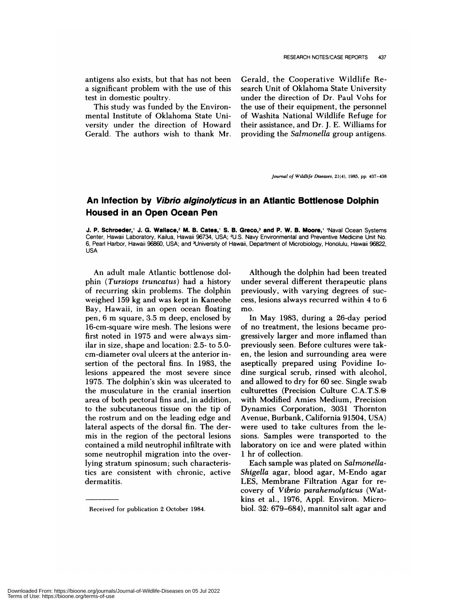antigens also exists, but that has not been a significant problem with the use of this test in domestic poultry.

This study was funded by the Environmental Institute of Oklahoma State University under the direction of Howard Gerald. The authors wish to thank Mr.

Gerald, the Cooperative Wildlife Research Unit of Oklahoma State University under the direction of Dr. Paul Vohs for the use of their equipment, the personnel of Washita National Wildlife Refuge for their assistance, and Dr. J. E. Williams for providing the *Salmonella* group antigens.

*Journal of Wildlife Diseases,* 21(4), 1985, **pp.** 437-438

## **An Infection by Vibrio alginolyticus in an Atlantic Bottlenose Dolphin Housed in an Open Ocean Pen**

J. P. **Schroeder,' J. G. Wallace,2 M. B. Cates,' S. B. Greco,3 and P. W. B. Moore,'** 'Naval Ocean Systems Center, Hawaii Laboratory, Kailua, Hawaii 96734, USA; 2U.S. Navy Environmental and Preventive Medicine Unit No. 6, Pearl Harbor, Hawaii 96860, USA; and 3University of Hawaii, Department of Microbiology, Honolulu, Hawaii 96822, USA

An adult male Atlantic bottlenose do! phin *(Tursiops truncatus)* had a history of recurring skin problems. The dolphin weighed 159 kg and was kept in Kaneohe Bay, Hawaii, in an open ocean floating pen, 6 m square, 3.5 m deep, enclosed by 16-cm-square wire mesh. The lesions were first noted in 1975 and were always similar in size, shape and location: 2.5- to 5.0 cm-diameter ova! ulcers at the anterior insertion of the pectoral fins. In 1983, the lesions appeared the most severe since 1975. The dolphin's skin was ulcerated to the musculature in the cranial insertion area of both pectoral fins and, in addition, to the subcutaneous tissue on the tip of the nostrum and on the leading edge and lateral aspects of the dorsal fin. The dermis in the region of the pectoral lesions contained a mild neutrophil infiltrate with some neutrophil migration into the overlying stratum spinosum; such characteristics are consistent with chronic, active dermatitis.

Although the dolphin had been treated under several different therapeutic plans previously, with varying degrees of suc cess, lesions always recurred within 4 to 6 mo.

In May 1983, during a 26-day period of no treatment, the lesions became progressively larger and more inflamed than previously seen. Before cultures were taken, the lesion and surrounding area were aseptically prepared using Povidine Iodine surgical scrub, rinsed with alcohol, and allowed to dry for 60 sec. Single swab culturettes (Precision Culture C.A.T.S.& with Modified Amies Medium, Precision Dynamics Corporation, 3031 Thornton Avenue, Burbank, California 91504, USA) were used to take cultures from the lesions. Samples were transported to the laboratory on ice and were plated within 1 hr of collection.

Each sample was plated on *Salmonella-Shigella* agar, blood agan, M-Endo agar LES, Membrane Filtration Agar for re covery of *Vibrio* parahemolyticus (Watkins et al., 1976, Appl. Environ. Microbiol. 32: 679–684), mannitol salt agar and

Received for publication 2 October 1984.